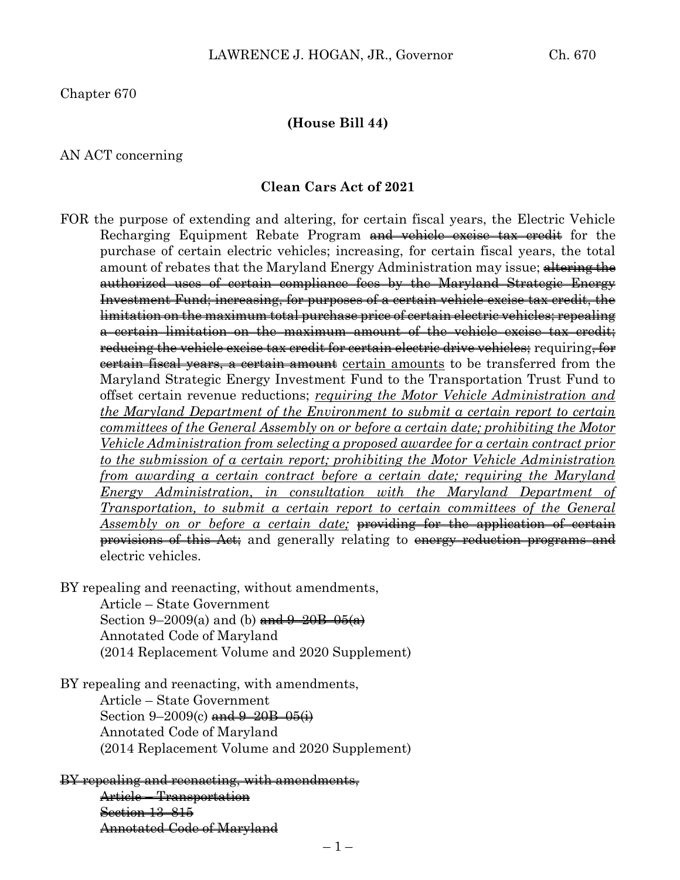### **(House Bill 44)**

#### AN ACT concerning

#### **Clean Cars Act of 2021**

FOR the purpose of extending and altering, for certain fiscal years, the Electric Vehicle Recharging Equipment Rebate Program and vehicle excise tax credit for the purchase of certain electric vehicles; increasing, for certain fiscal years, the total amount of rebates that the Maryland Energy Administration may issue; altering the authorized uses of certain compliance fees by the Maryland Strategic Energy Investment Fund; increasing, for purposes of a certain vehicle excise tax credit, the limitation on the maximum total purchase price of certain electric vehicles; repealing a certain limitation on the maximum amount of the vehicle excise tax credit; re<del>ducing the vehicle excise tax credit for certain electric drive vehicles;</del> requiring<del>, for</del> certain fiscal years, a certain amount certain amounts to be transferred from the Maryland Strategic Energy Investment Fund to the Transportation Trust Fund to offset certain revenue reductions; *requiring the Motor Vehicle Administration and the Maryland Department of the Environment to submit a certain report to certain committees of the General Assembly on or before a certain date; prohibiting the Motor Vehicle Administration from selecting a proposed awardee for a certain contract prior to the submission of a certain report; prohibiting the Motor Vehicle Administration from awarding a certain contract before a certain date; requiring the Maryland Energy Administration, in consultation with the Maryland Department of Transportation, to submit a certain report to certain committees of the General Assembly on or before a certain date;* providing for the application of certain provisions of this Act; and generally relating to energy reduction programs and electric vehicles.

BY repealing and reenacting, without amendments, Article – State Government Section 9–2009(a) and (b) and  $9-20B-05(a)$ Annotated Code of Maryland

(2014 Replacement Volume and 2020 Supplement)

BY repealing and reenacting, with amendments, Article – State Government Section  $9 - 2009(c)$  and  $9 - 20B - 05(i)$ Annotated Code of Maryland (2014 Replacement Volume and 2020 Supplement)

### BY repealing and reenacting, with amendments, Article – Transportation Section 13–815 Annotated Code of Maryland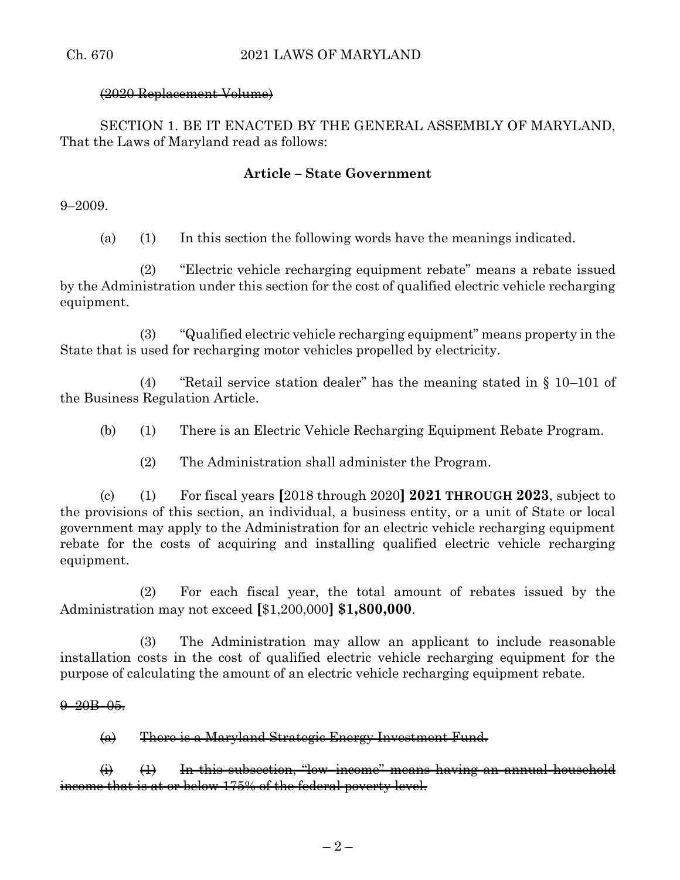# (2020 Replacement Volume)

SECTION 1. BE IT ENACTED BY THE GENERAL ASSEMBLY OF MARYLAND, That the Laws of Maryland read as follows:

# **Article – State Government**

9–2009.

(a) (1) In this section the following words have the meanings indicated.

(2) "Electric vehicle recharging equipment rebate" means a rebate issued by the Administration under this section for the cost of qualified electric vehicle recharging equipment.

(3) "Qualified electric vehicle recharging equipment" means property in the State that is used for recharging motor vehicles propelled by electricity.

(4) "Retail service station dealer" has the meaning stated in § 10–101 of the Business Regulation Article.

- (b) (1) There is an Electric Vehicle Recharging Equipment Rebate Program.
	- (2) The Administration shall administer the Program.

(c) (1) For fiscal years **[**2018 through 2020**] 2021 THROUGH 2023**, subject to the provisions of this section, an individual, a business entity, or a unit of State or local government may apply to the Administration for an electric vehicle recharging equipment rebate for the costs of acquiring and installing qualified electric vehicle recharging equipment.

(2) For each fiscal year, the total amount of rebates issued by the Administration may not exceed **[**\$1,200,000**] \$1,800,000**.

(3) The Administration may allow an applicant to include reasonable installation costs in the cost of qualified electric vehicle recharging equipment for the purpose of calculating the amount of an electric vehicle recharging equipment rebate.

## $9-20B-05.$

(a) There is a Maryland Strategic Energy Investment Fund.

 $\leftrightarrow$   $\leftrightarrow$  In this subsection, "low-income" means having an annual household income that is at or below 175% of the federal poverty level.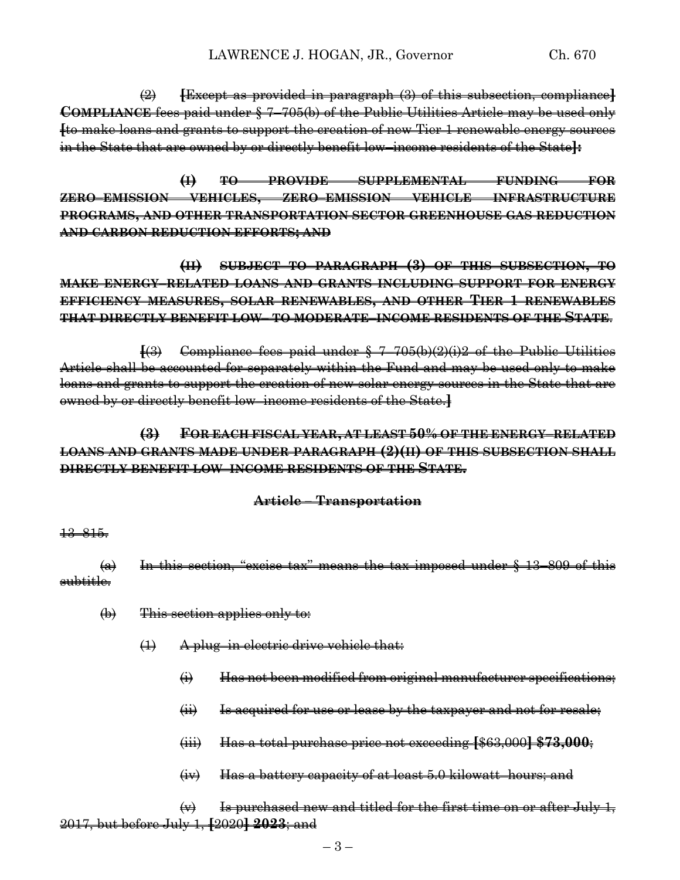(2) **[**Except as provided in paragraph (3) of this subsection, compliance**] COMPLIANCE** fees paid under § 7–705(b) of the Public Utilities Article may be used only **[**to make loans and grants to support the creation of new Tier 1 renewable energy sources in the State that are owned by or directly benefit low–income residents of the State**]:**

**(I) TO PROVIDE SUPPLEMENTAL FUNDING FOR ZERO–EMISSION VEHICLES, ZERO–EMISSION VEHICLE INFRASTRUCTURE PROGRAMS, AND OTHER TRANSPORTATION SECTOR GREENHOUSE GAS REDUCTION AND CARBON REDUCTION EFFORTS; AND**

**(II) SUBJECT TO PARAGRAPH (3) OF THIS SUBSECTION, TO MAKE ENERGY–RELATED LOANS AND GRANTS INCLUDING SUPPORT FOR ENERGY EFFICIENCY MEASURES, SOLAR RENEWABLES, AND OTHER TIER 1 RENEWABLES THAT DIRECTLY BENEFIT LOW– TO MODERATE–INCOME RESIDENTS OF THE STATE**.

**[**(3) Compliance fees paid under § 7–705(b)(2)(i)2 of the Public Utilities Article shall be accounted for separately within the Fund and may be used only to make loans and grants to support the creation of new solar energy sources in the State that are owned by or directly benefit low–income residents of the State.**]**

**(3) FOR EACH FISCAL YEAR, AT LEAST 50% OF THE ENERGY–RELATED LOANS AND GRANTS MADE UNDER PARAGRAPH (2)(II) OF THIS SUBSECTION SHALL DIRECTLY BENEFIT LOW–INCOME RESIDENTS OF THE STATE.**

# **Article – Transportation**

#### 13–815.

 $(a)$  In this section, "excise tax" means the tax imposed under  $§$  13–809 of this subtitle.

- (b) This section applies only to:
	- (1) A plug–in electric drive vehicle that:
		- (i) Has not been modified from original manufacturer specifications;
		- (ii) Is acquired for use or lease by the taxpayer and not for resale;
		- (iii) Has a total purchase price not exceeding **[**\$63,000**] \$73,000**;
		- (iv) Has a battery capacity of at least 5.0 kilowatt–hours; and

 $\leftrightarrow$  Is purchased new and titled for the first time on or after July 1, 2017, but before July 1, **[**2020**] 2023**; and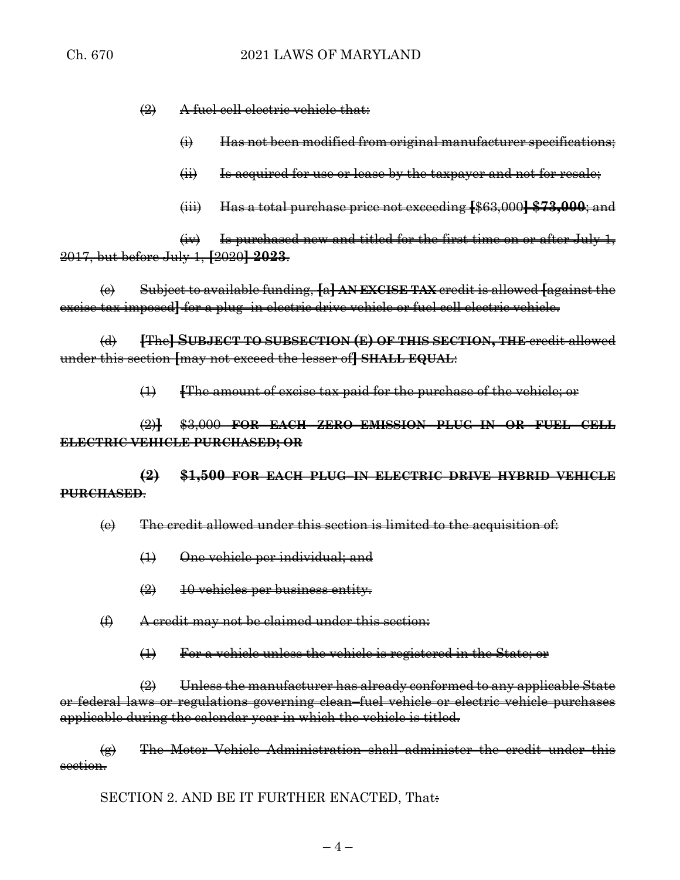(2) A fuel cell electric vehicle that:

- $\leftrightarrow$  Has not been modified from original manufacturer specifications;
- $(i)$  Is acquired for use or lease by the taxpayer and not for resale;
- (iii) Has a total purchase price not exceeding **[**\$63,000**] \$73,000**; and

 $(iv)$  Is purchased new and titled for the first time on or after July 1, 2017, but before July 1, **[**2020**] 2023**.

(c) Subject to available funding, **[**a**] AN EXCISE TAX** credit is allowed **[**against the excise tax imposed**]** for a plug–in electric drive vehicle or fuel cell electric vehicle.

(d) **[**The**] SUBJECT TO SUBSECTION (E) OF THIS SECTION, THE** credit allowed under this section **[**may not exceed the lesser of**] SHALL EQUAL**:

(1) **[**The amount of excise tax paid for the purchase of the vehicle; or

(2)**]** \$3,000 **FOR EACH ZERO–EMISSION PLUG–IN OR FUEL CELL ELECTRIC VEHICLE PURCHASED; OR**

**(2) \$1,500 FOR EACH PLUG–IN ELECTRIC DRIVE HYBRID VEHICLE PURCHASED**.

 $\left(\theta\right)$  The credit allowed under this section is limited to the acquisition of:

- (1) One vehicle per individual; and
- (2) 10 vehicles per business entity.
- (f) A credit may not be claimed under this section:
	- (1) For a vehicle unless the vehicle is registered in the State; or

(2) Unless the manufacturer has already conformed to any applicable State or federal laws or regulations governing clean–fuel vehicle or electric vehicle purchases applicable during the calendar year in which the vehicle is titled.

(g) The Motor Vehicle Administration shall administer the credit under this section.

SECTION 2. AND BE IT FURTHER ENACTED, That.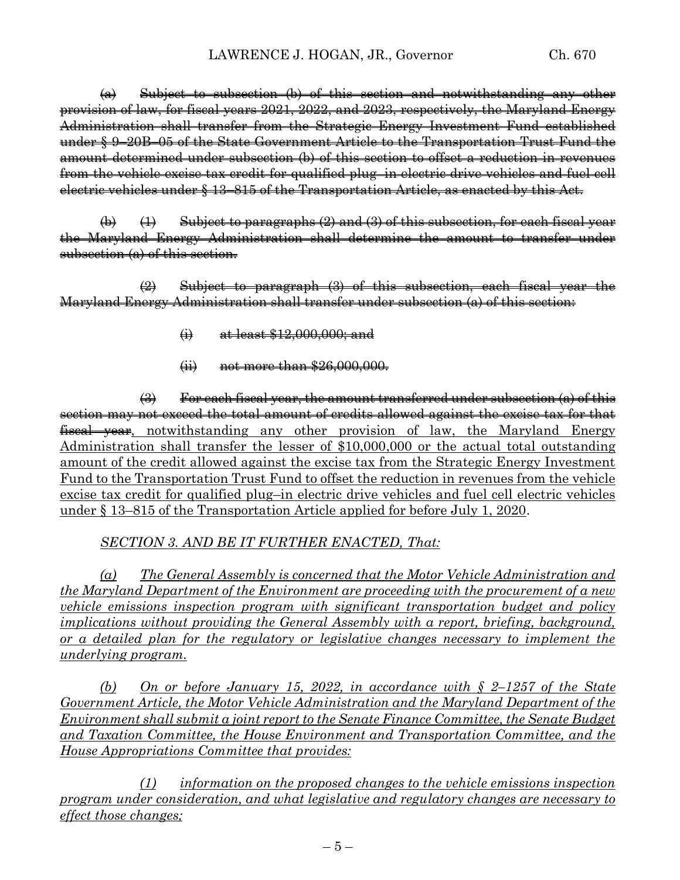$(a)$  Subject to subsection (b) of this section and notwithstanding any other provision of law, for fiscal years 2021, 2022, and 2023, respectively, the Maryland Energy Administration shall transfer from the Strategic Energy Investment Fund established under § 9–20B–05 of the State Government Article to the Transportation Trust Fund the amount determined under subsection (b) of this section to offset a reduction in revenues from the vehicle excise tax credit for qualified plug–in electric drive vehicles and fuel cell electric vehicles under § 13–815 of the Transportation Article, as enacted by this Act.

 $\left(\theta\right)$  (1) Subject to paragraphs (2) and (3) of this subsection, for each fiscal year the Maryland Energy Administration shall determine the amount to transfer under subsection (a) of this section.

(2) Subject to paragraph (3) of this subsection, each fiscal year the Maryland Energy Administration shall transfer under subsection (a) of this section:

- $\leftrightarrow$  at least \$12,000,000; and
- (ii) not more than \$26,000,000.

 $\left(\frac{1}{2}\right)$  For each fiscal year, the amount transferred under subsection (a) of this section may not exceed the total amount of credits allowed against the excise tax for that fiscal year, notwithstanding any other provision of law, the Maryland Energy Administration shall transfer the lesser of \$10,000,000 or the actual total outstanding amount of the credit allowed against the excise tax from the Strategic Energy Investment Fund to the Transportation Trust Fund to offset the reduction in revenues from the vehicle excise tax credit for qualified plug–in electric drive vehicles and fuel cell electric vehicles under § 13–815 of the Transportation Article applied for before July 1, 2020.

*SECTION 3. AND BE IT FURTHER ENACTED, That:* 

*(a) The General Assembly is concerned that the Motor Vehicle Administration and the Maryland Department of the Environment are proceeding with the procurement of a new vehicle emissions inspection program with significant transportation budget and policy implications without providing the General Assembly with a report, briefing, background, or a detailed plan for the regulatory or legislative changes necessary to implement the underlying program.* 

*(b) On or before January 15, 2022, in accordance with § 2–1257 of the State Government Article, the Motor Vehicle Administration and the Maryland Department of the Environment shall submit a joint report to the Senate Finance Committee, the Senate Budget and Taxation Committee, the House Environment and Transportation Committee, and the House Appropriations Committee that provides:*

*(1) information on the proposed changes to the vehicle emissions inspection program under consideration, and what legislative and regulatory changes are necessary to effect those changes;*